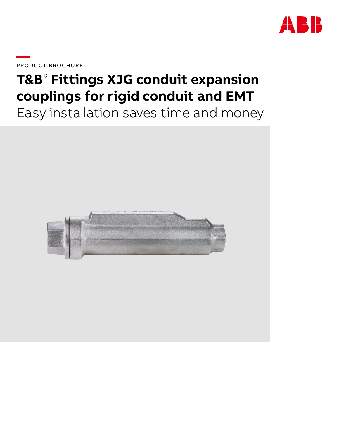

**—**PRODUCT BROCHURE

# **T&B**®  **Fittings XJG conduit expansion couplings for rigid conduit and EMT**

Easy installation saves time and money

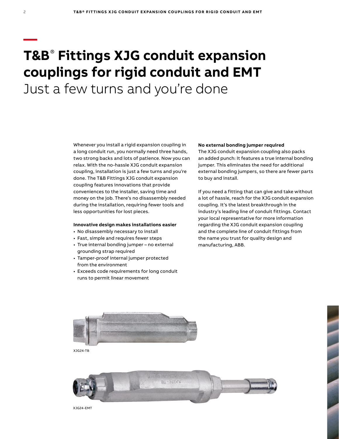# **T&B**®  **Fittings XJG conduit expansion couplings for rigid conduit and EMT** Just a few turns and you're done

Whenever you install a rigid expansion coupling in a long conduit run, you normally need three hands, two strong backs and lots of patience. Now you can relax. With the no-hassle XJG conduit expansion coupling, installation is just a few turns and you're done. The T&B Fittings XJG conduit expansion coupling features innovations that provide conveniences to the installer, saving time and money on the job. There's no disassembly needed during the installation, requiring fewer tools and less opportunities for lost pieces.

### **Innovative design makes installations easier**

- No disassembly necessary to install
- Fast, simple and requires fewer steps
- True internal bonding jumper no external grounding strap required
- Tamper-proof internal jumper protected from the environment
- Exceeds code requirements for long conduit runs to permit linear movement

#### **No external bonding jumper required**

The XJG conduit expansion coupling also packs an added punch: It features a true internal bonding jumper. This eliminates the need for additional external bonding jumpers, so there are fewer parts to buy and install.

If you need a fitting that can give and take without a lot of hassle, reach for the XJG conduit expansion coupling. It's the latest breakthrough in the industry's leading line of conduit fittings. Contact your local representative for more information regarding the XJG conduit expansion coupling and the complete line of conduit fittings from the name you trust for quality design and manufacturing, ABB.



XJG24-TB



**—**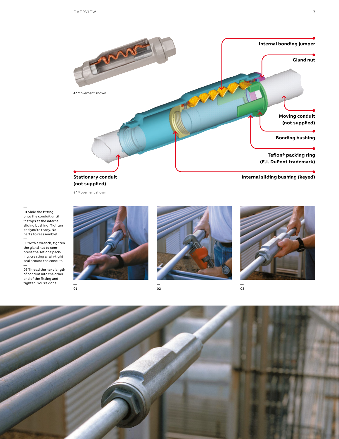

**(not supplied)**

8" Movement shown

— 01 Slide the fitting onto the conduit until it stops at the internal sliding bushing. Tighten and you're ready. No parts to reassemble!

— 02 With a wrench, tighten the gland nut to compress the Teflon® packing, creating a rain-tight seal around the conduit.

— 03 Thread the next length of conduit into the other end of the fitting and tighten. You're done! —

01